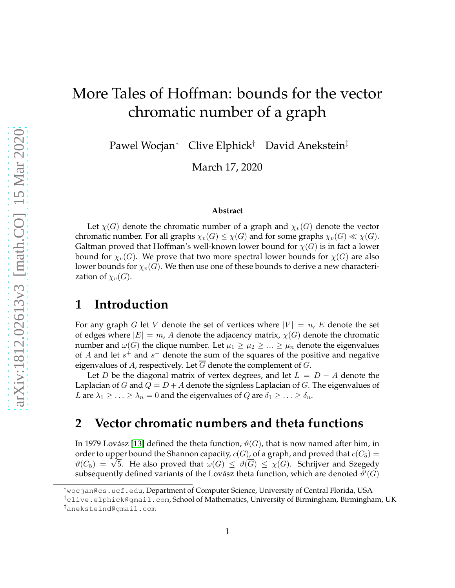# More Tales of Hoffman: bounds for the vector chromatic number of a graph

Pawel Wocjan<sup>∗</sup> Clive Elphick† David Anekstein‡

March 17, 2020

#### **Abstract**

Let  $\chi(G)$  denote the chromatic number of a graph and  $\chi_v(G)$  denote the vector chromatic number. For all graphs  $\chi_v(G) \leq \chi(G)$  and for some graphs  $\chi_v(G) \ll \chi(G)$ . Galtman proved that Hoffman's well-known lower bound for  $\chi(G)$  is in fact a lower bound for  $\chi_v(G)$ . We prove that two more spectral lower bounds for  $\chi(G)$  are also lower bounds for  $\chi_v(G)$ . We then use one of these bounds to derive a new characterization of  $\chi_v(G)$ .

#### **1 Introduction**

For any graph G let V denote the set of vertices where  $|V| = n$ , E denote the set of edges where  $|E| = m$ , A denote the adjacency matrix,  $\chi(G)$  denote the chromatic number and  $\omega(G)$  the clique number. Let  $\mu_1 \geq \mu_2 \geq ... \geq \mu_n$  denote the eigenvalues of A and let  $s^+$  and  $s^-$  denote the sum of the squares of the positive and negative eigenvalues of  $A$ , respectively. Let  $G$  denote the complement of  $G$ .

Let D be the diagonal matrix of vertex degrees, and let  $L = D - A$  denote the Laplacian of G and  $Q = D + A$  denote the signless Laplacian of G. The eigenvalues of L are  $\lambda_1 \geq \ldots \geq \lambda_n = 0$  and the eigenvalues of Q are  $\delta_1 \geq \ldots \geq \delta_n$ .

## **2 Vector chromatic numbers and theta functions**

In 1979 Lovász [\[13\]](#page-8-0) defined the theta function,  $\vartheta(G)$ , that is now named after him, in order to upper bound the Shannon capacity,  $c(G)$ , of a graph, and proved that  $c(C_5)$  =  $\vartheta(C_5) = \sqrt{5}$ . He also proved that  $\omega(G) \leq \vartheta(\overline{G}) \leq \chi(G)$ . Schrijver and Szegedy subsequently defined variants of the Lovász theta function, which are denoted  $\vartheta'(G)$ 

<sup>∗</sup>wocjan@cs.ucf.edu, Department of Computer Science, University of Central Florida, USA

<sup>†</sup>clive.elphick@gmail.com, School of Mathematics, University of Birmingham, Birmingham, UK ‡aneksteind@gmail.com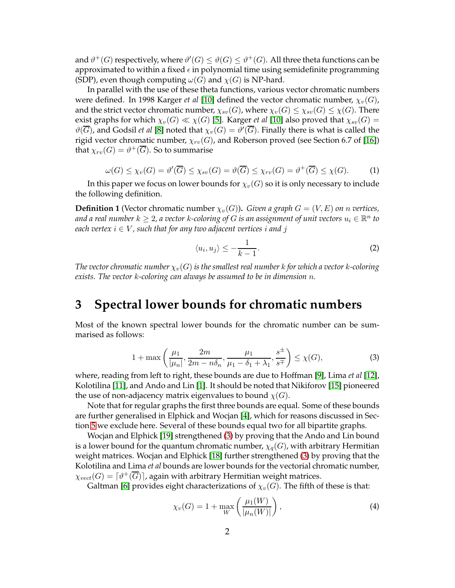and  $\vartheta^+(G)$  respectively, where  $\vartheta'(G) \le \vartheta(G) \le \vartheta^+(G)$ . All three theta functions can be approximated to within a fixed  $\epsilon$  in polynomial time using semidefinite programming (SDP), even though computing  $\omega(G)$  and  $\chi(G)$  is NP-hard.

In parallel with the use of these theta functions, various vector chromatic numbers were defined. In 1998 Karger *et al* [\[10\]](#page-8-1) defined the vector chromatic number,  $\chi_v(G)$ , and the strict vector chromatic number,  $\chi_{sv}(G)$ , where  $\chi_v(G) \leq \chi_{sv}(G) \leq \chi(G)$ . There exist graphs for which  $\chi_v(G) \ll \chi(G)$  [\[5\]](#page-7-0). Karger *et al* [\[10\]](#page-8-1) also proved that  $\chi_{sv}(G)$  =  $\vartheta(\overline{G})$ , and Godsil *et al* [\[8\]](#page-8-2) noted that  $\chi_v(G) = \vartheta'(\overline{G}).$  Finally there is what is called the rigid vector chromatic number,  $\chi_{rv}(G)$ , and Roberson proved (see Section 6.7 of [\[16\]](#page-8-3)) that  $\chi_{rv}(G)=\vartheta^+(\overline{G}).$  So to summarise

$$
\omega(G) \le \chi_v(G) = \vartheta'(\overline{G}) \le \chi_{sv}(G) = \vartheta(\overline{G}) \le \chi_{rv}(G) = \vartheta^+(\overline{G}) \le \chi(G). \tag{1}
$$

In this paper we focus on lower bounds for  $\chi_v(G)$  so it is only necessary to include the following definition.

<span id="page-1-1"></span>**Definition 1** (Vector chromatic number  $\chi_v(G)$ ). *Given a graph*  $G = (V, E)$  *on n vertices,* and a real number  $k \geq 2$ , a vector  $k$ -coloring of  $G$  is an assignment of unit vectors  $u_i \in \mathbb{R}^n$  to *each vertex*  $i \in V$ , such that for any two adjacent vertices i and j

<span id="page-1-2"></span>
$$
\langle u_i, u_j \rangle \le -\frac{1}{k-1}.\tag{2}
$$

*The vector chromatic number*  $\chi_v(G)$  *is the smallest real number k for which a vector k-coloring exists. The vector* k*-coloring can always be assumed to be in dimension* n*.*

#### **3 Spectral lower bounds for chromatic numbers**

Most of the known spectral lower bounds for the chromatic number can be summarised as follows:

<span id="page-1-0"></span>
$$
1 + \max\left(\frac{\mu_1}{|\mu_n|}, \frac{2m}{2m - n\delta_n}, \frac{\mu_1}{\mu_1 - \delta_1 + \lambda_1}, \frac{s^{\pm}}{s^{\mp}}\right) \le \chi(G),\tag{3}
$$

where, reading from left to right, these bounds are due to Hoffman [\[9\]](#page-8-4), Lima *et al* [\[12\]](#page-8-5), Kolotilina [\[11\]](#page-8-6), and Ando and Lin [\[1\]](#page-7-1). It should be noted that Nikiforov [\[15\]](#page-8-7) pioneered the use of non-adjacency matrix eigenvalues to bound  $\chi(G)$ .

Note that for regular graphs the first three bounds are equal. Some of these bounds are further generalised in Elphick and Wocjan [\[4\]](#page-7-2), which for reasons discussed in Section [5](#page-3-0) we exclude here. Several of these bounds equal two for all bipartite graphs.

Wocjan and Elphick [\[19\]](#page-8-8) strengthened [\(3\)](#page-1-0) by proving that the Ando and Lin bound is a lower bound for the quantum chromatic number,  $\chi_q(G)$ , with arbitrary Hermitian weight matrices. Wocjan and Elphick [\[18\]](#page-8-9) further strengthened [\(3\)](#page-1-0) by proving that the Kolotilina and Lima *et al* bounds are lower bounds for the vectorial chromatic number,  $\chi_{vect}(G)=\lceil \vartheta^+(\overline{G})\rceil$ , again with arbitrary Hermitian weight matrices.

Galtman [\[6\]](#page-8-10) provides eight characterizations of  $\chi_v(G)$ . The fifth of these is that:

$$
\chi_v(G) = 1 + \max_W \left( \frac{\mu_1(W)}{|\mu_n(W)|} \right),\tag{4}
$$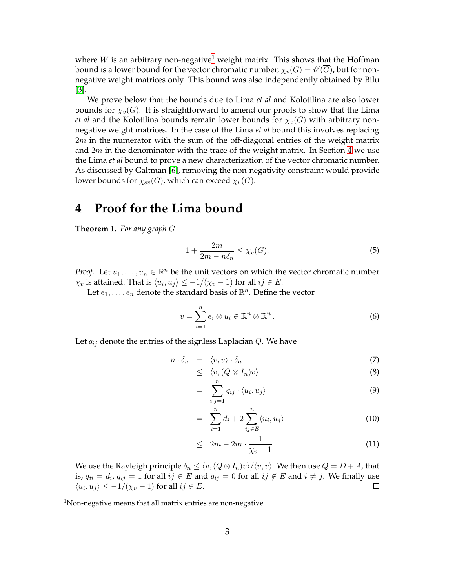where W is an arbitrary non-negative<sup>[1](#page-2-0)</sup> weight matrix. This shows that the Hoffman bound is a lower bound for the vector chromatic number,  $\chi_v(G) = \vartheta'(\overline{G})$ , but for nonnegative weight matrices only. This bound was also independently obtained by Bilu [\[3\]](#page-7-3).

We prove below that the bounds due to Lima *et al* and Kolotilina are also lower bounds for  $\chi_v(G)$ . It is straightforward to amend our proofs to show that the Lima *et al* and the Kolotilina bounds remain lower bounds for  $\chi_v(G)$  with arbitrary nonnegative weight matrices. In the case of the Lima *et al* bound this involves replacing  $2m$  in the numerator with the sum of the off-diagonal entries of the weight matrix and  $2m$  in the denominator with the trace of the weight matrix. In Section [4](#page-2-1) we use the Lima *et al* bound to prove a new characterization of the vector chromatic number. As discussed by Galtman [\[6\]](#page-8-10), removing the non-negativity constraint would provide lower bounds for  $\chi_{sv}(G)$ , which can exceed  $\chi_v(G)$ .

#### <span id="page-2-1"></span>**4 Proof for the Lima bound**

**Theorem 1.** *For any graph* G

$$
1 + \frac{2m}{2m - n\delta_n} \le \chi_v(G). \tag{5}
$$

*Proof.* Let  $u_1, \ldots, u_n \in \mathbb{R}^n$  be the unit vectors on which the vector chromatic number  $\chi_v$  is attained. That is  $\langle u_i, u_j \rangle \leq -1/(\chi_v - 1)$  for all  $ij \in E$ .

Let  $e_1, \ldots, e_n$  denote the standard basis of  $\mathbb{R}^n$ . Define the vector

$$
v = \sum_{i=1}^{n} e_i \otimes u_i \in \mathbb{R}^n \otimes \mathbb{R}^n.
$$
 (6)

Let  $q_{ij}$  denote the entries of the signless Laplacian  $Q$ . We have

$$
n \cdot \delta_n = \langle v, v \rangle \cdot \delta_n \tag{7}
$$

$$
\leq \langle v, (Q \otimes I_n)v \rangle \tag{8}
$$

$$
= \sum_{i,j=1}^n q_{ij} \cdot \langle u_i, u_j \rangle \tag{9}
$$

$$
= \sum_{i=1}^{n} d_i + 2 \sum_{ij \in E}^{n} \langle u_i, u_j \rangle \tag{10}
$$

$$
\leq 2m - 2m \cdot \frac{1}{\chi_v - 1} \,. \tag{11}
$$

We use the Rayleigh principle  $\delta_n \leq \langle v,(Q \otimes I_n)v \rangle / \langle v, v \rangle$ . We then use  $Q = D + A$ , that is,  $q_{ii} = d_i$ ,  $q_{ij} = 1$  for all  $ij \in E$  and  $q_{ij} = 0$  for all  $ij \notin E$  and  $i \neq j$ . We finally use  $\langle u_i, u_j \rangle \leq -1/(\chi_v - 1)$  for all  $ij \in E$ .

<span id="page-2-0"></span> $1$ Non-negative means that all matrix entries are non-negative.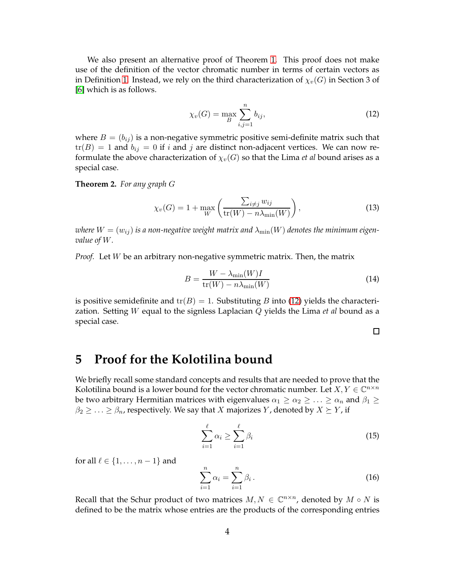We also present an alternative proof of Theorem [1.](#page-1-1) This proof does not make use of the definition of the vector chromatic number in terms of certain vectors as in Definition [1.](#page-1-1) Instead, we rely on the third characterization of  $\chi_v(G)$  in Section 3 of [\[6\]](#page-8-10) which is as follows.

<span id="page-3-1"></span>
$$
\chi_v(G) = \max_B \sum_{i,j=1}^n b_{ij},\tag{12}
$$

where  $B = (b_{ij})$  is a non-negative symmetric positive semi-definite matrix such that  $tr(B) = 1$  and  $b_{ij} = 0$  if i and j are distinct non-adjacent vertices. We can now reformulate the above characterization of  $\chi_v(G)$  so that the Lima *et al* bound arises as a special case.

**Theorem 2.** *For any graph* G

$$
\chi_v(G) = 1 + \max_W \left( \frac{\sum_{i \neq j} w_{ij}}{\text{tr}(W) - n\lambda_{\min}(W)} \right),\tag{13}
$$

*where*  $W = (w_{ij})$  *is a non-negative weight matrix and*  $\lambda_{\min}(W)$  *denotes the minimum eigenvalue of* W*.*

*Proof.* Let W be an arbitrary non-negative symmetric matrix. Then, the matrix

$$
B = \frac{W - \lambda_{\min}(W)I}{\text{tr}(W) - n\lambda_{\min}(W)}\tag{14}
$$

is positive semidefinite and  $tr(B) = 1$ . Substituting B into [\(12\)](#page-3-1) yields the characterization. Setting W equal to the signless Laplacian Q yields the Lima *et al* bound as a special case.

 $\Box$ 

#### <span id="page-3-0"></span>**5 Proof for the Kolotilina bound**

We briefly recall some standard concepts and results that are needed to prove that the Kolotilina bound is a lower bound for the vector chromatic number. Let  $X, Y \in \mathbb{C}^{n \times n}$ be two arbitrary Hermitian matrices with eigenvalues  $\alpha_1 \geq \alpha_2 \geq \ldots \geq \alpha_n$  and  $\beta_1 \geq$  $\beta_2 \geq \ldots \geq \beta_n$ , respectively. We say that X majorizes Y, denoted by  $X \succeq Y$ , if

$$
\sum_{i=1}^{\ell} \alpha_i \ge \sum_{i=1}^{\ell} \beta_i
$$
\n(15)

for all  $\ell \in \{1, \ldots, n-1\}$  and

$$
\sum_{i=1}^{n} \alpha_i = \sum_{i=1}^{n} \beta_i.
$$
 (16)

Recall that the Schur product of two matrices  $M, N \in \mathbb{C}^{n \times n}$ , denoted by  $M \circ N$  is defined to be the matrix whose entries are the products of the corresponding entries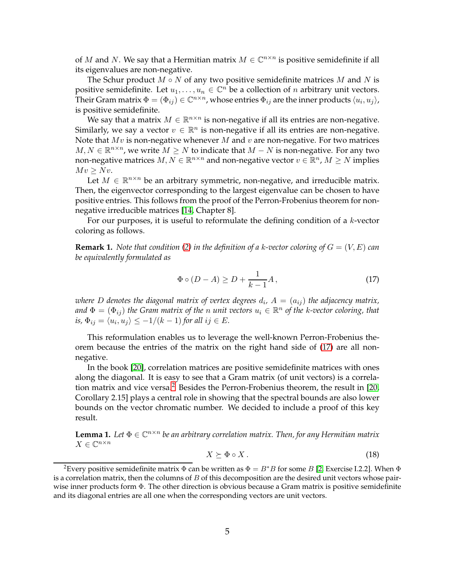of M and N. We say that a Hermitian matrix  $M \in \mathbb{C}^{n \times n}$  is positive semidefinite if all its eigenvalues are non-negative.

The Schur product  $M \circ N$  of any two positive semidefinite matrices  $M$  and  $N$  is positive semidefinite. Let  $u_1, \ldots, u_n \in \mathbb{C}^n$  be a collection of *n* arbitrary unit vectors. Their Gram matrix  $\Phi=(\Phi_{ij})\in \mathbb{C}^{n\times n}$ , whose entries  $\Phi_{ij}$  are the inner products  $\langle u_i,u_j\rangle$ , is positive semidefinite.

We say that a matrix  $M \in \mathbb{R}^{n \times n}$  is non-negative if all its entries are non-negative. Similarly, we say a vector  $v \in \mathbb{R}^n$  is non-negative if all its entries are non-negative. Note that  $Mv$  is non-negative whenever M and v are non-negative. For two matrices  $M, N \in \mathbb{R}^{n \times n}$ , we write  $M \ge N$  to indicate that  $M - N$  is non-negative. For any two non-negative matrices  $M, N \in \mathbb{R}^{n \times n}$  and non-negative vector  $v \in \mathbb{R}^n$ ,  $M \geq N$  implies  $Mv \geq Nv$ .

Let  $M \in \mathbb{R}^{n \times n}$  be an arbitrary symmetric, non-negative, and irreducible matrix. Then, the eigenvector corresponding to the largest eigenvalue can be chosen to have positive entries. This follows from the proof of the Perron-Frobenius theorem for nonnegative irreducible matrices [\[14,](#page-8-11) Chapter 8].

For our purposes, it is useful to reformulate the defining condition of a  $k$ -vector coloring as follows.

<span id="page-4-2"></span>**Remark 1.** *Note that condition [\(2\)](#page-1-2) in the definition of a k-vector coloring of*  $G = (V, E)$  *can be equivalently formulated as*

<span id="page-4-0"></span>
$$
\Phi \circ (D - A) \ge D + \frac{1}{k - 1} A, \tag{17}
$$

where  $D$  denotes the diagonal matrix of vertex degrees  $d_i$ ,  $A\,=\,(a_{ij})$  the adjacency matrix, and  $\Phi = (\Phi_{ij})$  the Gram matrix of the *n* unit vectors  $u_i \in \mathbb{R}^n$  of the *k*-vector coloring, that *is,*  $\Phi_{ij} = \langle u_i, u_j \rangle \le -1/(k-1)$  *for all*  $ij \in E$ *.* 

This reformulation enables us to leverage the well-known Perron-Frobenius theorem because the entries of the matrix on the right hand side of [\(17\)](#page-4-0) are all nonnegative.

In the book [\[20\]](#page-8-12), correlation matrices are positive semidefinite matrices with ones along the diagonal. It is easy to see that a Gram matrix (of unit vectors) is a correla-tion matrix and vice versa.<sup>[2](#page-4-1)</sup> Besides the Perron-Frobenius theorem, the result in [\[20,](#page-8-12) Corollary 2.15] plays a central role in showing that the spectral bounds are also lower bounds on the vector chromatic number. We decided to include a proof of this key result.

**Lemma 1.** Let  $\Phi \in \mathbb{C}^{n \times n}$  be an arbitrary correlation matrix. Then, for any Hermitian matrix  $X \in \mathbb{C}^{n \times n}$ 

$$
X \succeq \Phi \circ X. \tag{18}
$$

<span id="page-4-1"></span><sup>&</sup>lt;sup>2</sup>Every positive semidefinite matrix  $\Phi$  can be written as  $\Phi = B^*B$  for some B [\[2,](#page-7-4) Exercise I.2.2]. When  $\Phi$ is a correlation matrix, then the columns of  $B$  of this decomposition are the desired unit vectors whose pairwise inner products form Φ. The other direction is obvious because a Gram matrix is positive semidefinite and its diagonal entries are all one when the corresponding vectors are unit vectors.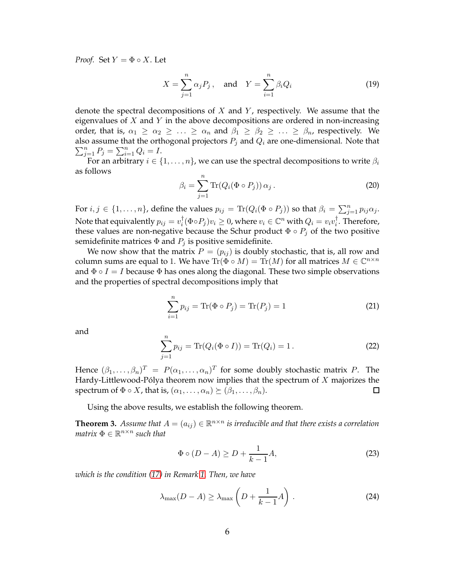*Proof.* Set  $Y = \Phi \circ X$ . Let

$$
X = \sum_{j=1}^{n} \alpha_j P_j, \quad \text{and} \quad Y = \sum_{i=1}^{n} \beta_i Q_i \tag{19}
$$

denote the spectral decompositions of  $X$  and  $Y$ , respectively. We assume that the eigenvalues of  $X$  and  $Y$  in the above decompositions are ordered in non-increasing order, that is,  $\alpha_1 \geq \alpha_2 \geq \ldots \geq \alpha_n$  and  $\beta_1 \geq \beta_2 \geq \ldots \geq \beta_n$ , respectively. We also assume that the orthogonal projectors  $P_j$  and  $Q_i$  are one-dimensional. Note that  $\sum_{j=1}^{n} P_j = \sum_{i=1}^{n} Q_i = I.$ 

For an arbitrary  $i \in \{1, \ldots, n\}$ , we can use the spectral decompositions to write  $\beta_i$ as follows

$$
\beta_i = \sum_{j=1}^n \text{Tr}(Q_i(\Phi \circ P_j)) \alpha_j.
$$
 (20)

For  $i, j \in \{1, \ldots, n\}$ , define the values  $p_{ij} = \text{Tr}(Q_i(\Phi \circ P_j))$  so that  $\beta_i = \sum_{j=1}^n p_{ij} \alpha_j$ . Note that equivalently  $p_{ij} = v_i^\dagger$  $\overline{u}_i^{\dagger}(\Phi \circ P_j)v_i \geq 0$ , where  $v_i \in \mathbb{C}^n$  with  $Q_i = v_iv_i^{\dagger}$  $\frac{1}{i}$ . Therefore, these values are non-negative because the Schur product  $\Phi \circ P_i$  of the two positive semidefinite matrices  $\Phi$  and  $P_i$  is positive semidefinite.

We now show that the matrix  $P = (p_{ij})$  is doubly stochastic, that is, all row and column sums are equal to 1. We have  $\text{Tr}(\Phi \circ M) = \text{Tr}(M)$  for all matrices  $M \in \mathbb{C}^{n \times n}$ and  $\Phi \circ I = I$  because  $\Phi$  has ones along the diagonal. These two simple observations and the properties of spectral decompositions imply that

$$
\sum_{i=1}^{n} p_{ij} = \text{Tr}(\Phi \circ P_j) = \text{Tr}(P_j) = 1
$$
 (21)

and

$$
\sum_{j=1}^{n} p_{ij} = \text{Tr}(Q_i(\Phi \circ I)) = \text{Tr}(Q_i) = 1.
$$
 (22)

Hence  $(\beta_1,\ldots,\beta_n)^T~=~P(\alpha_1,\ldots,\alpha_n)^T$  for some doubly stochastic matrix  $P.$  The Hardy-Littlewood-Pólya theorem now implies that the spectrum of  $X$  majorizes the spectrum of  $\Phi \circ X$ , that is,  $(\alpha_1, \ldots, \alpha_n) \succeq (\beta_1, \ldots, \beta_n)$ .  $\Box$ 

Using the above results, we establish the following theorem.

**Theorem 3.** Assume that  $A = (a_{ij}) \in \mathbb{R}^{n \times n}$  is irreducible and that there exists a correlation  $matrix \Phi \in \mathbb{R}^{n \times n}$  such that

$$
\Phi \circ (D - A) \ge D + \frac{1}{k - 1} A,\tag{23}
$$

*which is the condition [\(17\)](#page-4-0) in Remark [1.](#page-4-2) Then, we have*

$$
\lambda_{\max}(D - A) \ge \lambda_{\max}\left(D + \frac{1}{k - 1}A\right). \tag{24}
$$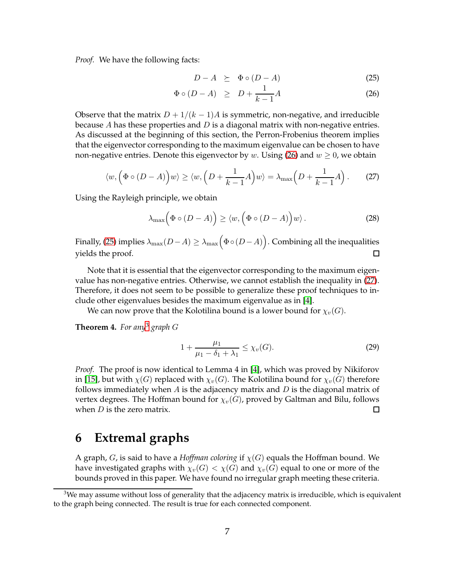*Proof.* We have the following facts:

<span id="page-6-0"></span>
$$
D - A \geq \Phi \circ (D - A) \tag{25}
$$

$$
\Phi \circ (D - A) \geq D + \frac{1}{k - 1}A \tag{26}
$$

Observe that the matrix  $D + 1/(k - 1)A$  is symmetric, non-negative, and irreducible because A has these properties and  $D$  is a diagonal matrix with non-negative entries. As discussed at the beginning of this section, the Perron-Frobenius theorem implies that the eigenvector corresponding to the maximum eigenvalue can be chosen to have non-negative entries. Denote this eigenvector by w. Using [\(26\)](#page-6-0) and  $w \ge 0$ , we obtain

<span id="page-6-1"></span>
$$
\langle w, \left(\Phi \circ (D-A)\right) w \rangle \ge \langle w, \left(D + \frac{1}{k-1}A\right) w \rangle = \lambda_{\max}\Big(D + \frac{1}{k-1}A\Big). \tag{27}
$$

Using the Rayleigh principle, we obtain

$$
\lambda_{\max} \Big( \Phi \circ (D - A) \Big) \ge \langle w, \Big( \Phi \circ (D - A) \Big) w \rangle. \tag{28}
$$

Finally, [\(25\)](#page-6-0) implies  $\lambda_{\max}(D-A)\geq\lambda_{\max}\Bigl(\Phi\circ(D-A)\Bigr).$  Combining all the inequalities yields the proof.  $\Box$ 

Note that it is essential that the eigenvector corresponding to the maximum eigenvalue has non-negative entries. Otherwise, we cannot establish the inequality in [\(27\)](#page-6-1). Therefore, it does not seem to be possible to generalize these proof techniques to include other eigenvalues besides the maximum eigenvalue as in [\[4\]](#page-7-2).

We can now prove that the Kolotilina bound is a lower bound for  $\chi_v(G)$ .

**Theorem 4.** *For any*[3](#page-6-2) *graph* G

$$
1 + \frac{\mu_1}{\mu_1 - \delta_1 + \lambda_1} \le \chi_v(G). \tag{29}
$$

*Proof.* The proof is now identical to Lemma 4 in [\[4\]](#page-7-2), which was proved by Nikiforov in [\[15\]](#page-8-7), but with  $\chi(G)$  replaced with  $\chi_v(G)$ . The Kolotilina bound for  $\chi_v(G)$  therefore follows immediately when  $A$  is the adjacency matrix and  $D$  is the diagonal matrix of vertex degrees. The Hoffman bound for  $\chi_v(G)$ , proved by Galtman and Bilu, follows when  $D$  is the zero matrix. П

#### **6 Extremal graphs**

A graph, G, is said to have a *Hoffman coloring* if χ(G) equals the Hoffman bound. We have investigated graphs with  $\chi_v(G) < \chi(G)$  and  $\chi_v(G)$  equal to one or more of the bounds proved in this paper. We have found no irregular graph meeting these criteria.

<span id="page-6-2"></span> $3$ We may assume without loss of generality that the adjacency matrix is irreducible, which is equivalent to the graph being connected. The result is true for each connected component.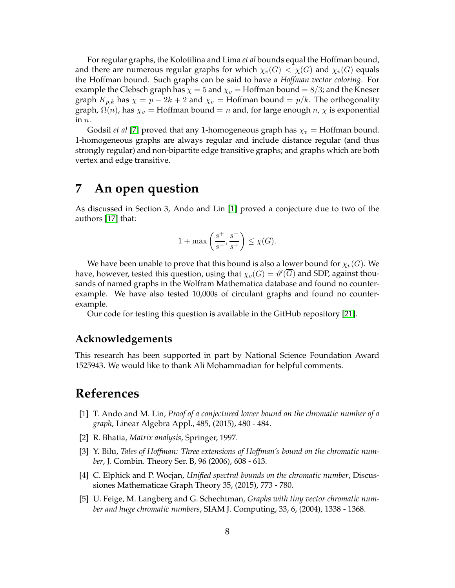For regular graphs, the Kolotilina and Lima *et al* bounds equal the Hoffman bound, and there are numerous regular graphs for which  $\chi_v(G) < \chi(G)$  and  $\chi_v(G)$  equals the Hoffman bound. Such graphs can be said to have a *Hoffman vector coloring*. For example the Clebsch graph has  $\chi = 5$  and  $\chi_v =$  Hoffman bound = 8/3; and the Kneser graph  $K_{p,k}$  has  $\chi = p - 2k + 2$  and  $\chi_v =$  Hoffman bound  $= p/k$ . The orthogonality graph,  $\Omega(n)$ , has  $\chi_v$  = Hoffman bound = n and, for large enough n,  $\chi$  is exponential in n.

Godsil *et al* [\[7\]](#page-8-13) proved that any 1-homogeneous graph has  $\chi_v = H$ offman bound. 1-homogeneous graphs are always regular and include distance regular (and thus strongly regular) and non-bipartite edge transitive graphs; and graphs which are both vertex and edge transitive.

#### **7 An open question**

As discussed in Section 3, Ando and Lin [\[1\]](#page-7-1) proved a conjecture due to two of the authors [\[17\]](#page-8-14) that:

$$
1+\max\left(\frac{s^{+}}{s^{-}},\frac{s^{-}}{s^{+}}\right)\leq \chi(G).
$$

We have been unable to prove that this bound is also a lower bound for  $\chi_v(G)$ . We have, however, tested this question, using that  $\chi_v(G) = \vartheta'(\overline{G})$  and SDP, against thousands of named graphs in the Wolfram Mathematica database and found no counterexample. We have also tested 10,000s of circulant graphs and found no counterexample.

Our code for testing this question is available in the GitHub repository [\[21\]](#page-8-15).

#### **Acknowledgements**

This research has been supported in part by National Science Foundation Award 1525943. We would like to thank Ali Mohammadian for helpful comments.

### <span id="page-7-1"></span>**References**

- [1] T. Ando and M. Lin, *Proof of a conjectured lower bound on the chromatic number of a graph*, Linear Algebra Appl., 485, (2015), 480 - 484.
- <span id="page-7-4"></span><span id="page-7-3"></span>[2] R. Bhatia, *Matrix analysis*, Springer, 1997.
- [3] Y. Bilu, *Tales of Hoffman: Three extensions of Hoffman's bound on the chromatic number*, J. Combin. Theory Ser. B, 96 (2006), 608 - 613.
- <span id="page-7-2"></span>[4] C. Elphick and P. Wocjan, *Unified spectral bounds on the chromatic number*, Discussiones Mathematicae Graph Theory 35, (2015), 773 - 780.
- <span id="page-7-0"></span>[5] U. Feige, M. Langberg and G. Schechtman, *Graphs with tiny vector chromatic number and huge chromatic numbers*, SIAM J. Computing, 33, 6, (2004), 1338 - 1368.